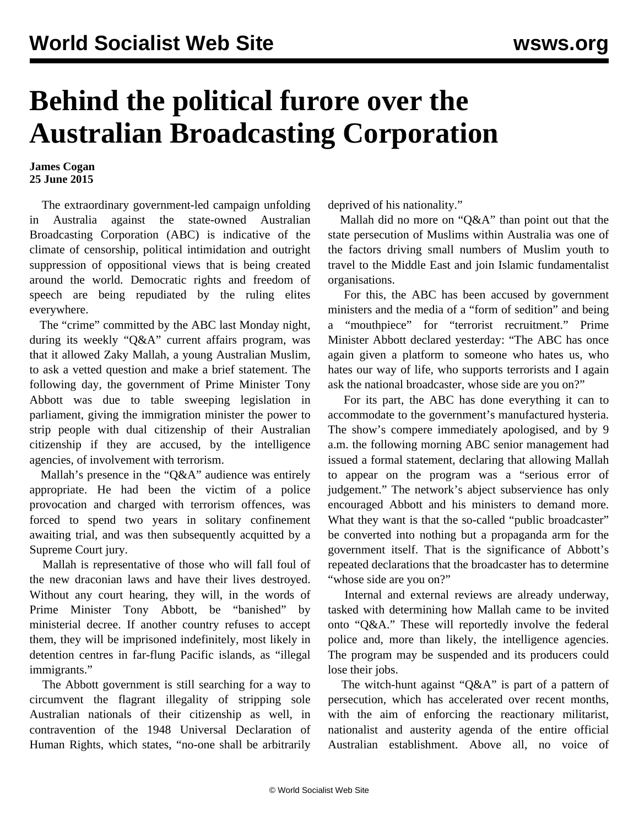## **Behind the political furore over the Australian Broadcasting Corporation**

## **James Cogan 25 June 2015**

 The extraordinary government-led campaign unfolding in Australia against the state-owned Australian Broadcasting Corporation (ABC) is indicative of the climate of censorship, political intimidation and outright suppression of oppositional views that is being created around the world. Democratic rights and freedom of speech are being repudiated by the ruling elites everywhere.

 The "crime" committed by the ABC last Monday night, during its weekly "Q&A" current affairs program, was that it allowed Zaky Mallah, a young Australian Muslim, to ask a vetted question and make a brief statement. The following day, the government of Prime Minister Tony Abbott was due to table sweeping legislation in parliament, giving the immigration minister the power to strip people with dual citizenship of their Australian citizenship if they are accused, by the intelligence agencies, of involvement with terrorism.

 Mallah's presence in the "Q&A" audience was entirely appropriate. He had been the victim of a police provocation and charged with terrorism offences, was forced to spend two years in solitary confinement awaiting trial, and was then subsequently acquitted by a Supreme Court jury.

 Mallah is representative of those who will fall foul of the new draconian laws and have their lives destroyed. Without any court hearing, they will, in the words of Prime Minister Tony Abbott, be "banished" by ministerial decree. If another country refuses to accept them, they will be imprisoned indefinitely, most likely in detention centres in far-flung Pacific islands, as "illegal immigrants."

 The Abbott government is still searching for a way to circumvent the flagrant illegality of stripping sole Australian nationals of their citizenship as well, in contravention of the 1948 Universal Declaration of Human Rights, which states, "no-one shall be arbitrarily

deprived of his nationality."

 Mallah did no more on "Q&A" than point out that the state persecution of Muslims within Australia was one of the factors driving small numbers of Muslim youth to travel to the Middle East and join Islamic fundamentalist organisations.

 For this, the ABC has been accused by government ministers and the media of a "form of sedition" and being a "mouthpiece" for "terrorist recruitment." Prime Minister Abbott declared yesterday: "The ABC has once again given a platform to someone who hates us, who hates our way of life, who supports terrorists and I again ask the national broadcaster, whose side are you on?"

 For its part, the ABC has done everything it can to accommodate to the government's manufactured hysteria. The show's compere immediately apologised, and by 9 a.m. the following morning ABC senior management had issued a formal statement, declaring that allowing Mallah to appear on the program was a "serious error of judgement." The network's abject subservience has only encouraged Abbott and his ministers to demand more. What they want is that the so-called "public broadcaster" be converted into nothing but a propaganda arm for the government itself. That is the significance of Abbott's repeated declarations that the broadcaster has to determine "whose side are you on?"

 Internal and external reviews are already underway, tasked with determining how Mallah came to be invited onto "Q&A." These will reportedly involve the federal police and, more than likely, the intelligence agencies. The program may be suspended and its producers could lose their jobs.

The witch-hunt against "O&A" is part of a pattern of persecution, which has accelerated over recent months, with the aim of enforcing the reactionary militarist, nationalist and austerity agenda of the entire official Australian establishment. Above all, no voice of